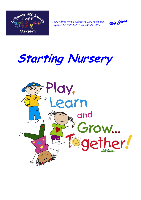

*41 Hydethorpe Avenue, Edmonton, London, N9 9RS Telephone: 020 8807 2679 Fax: 020 8807 8696* 

We Care

# **Starting Nursery**

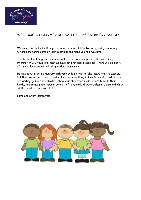

## WELCOME TO LATYMER ALL SAINTS C of E NURSERY SCHOOL

We hope this booklet will help you to settle your child in Nursery, and go some way towards answering some of your questions and make you feel welcome.

This booklet will be given to you as part of your welcome pack. If there is any information you would like, that we have not provided, please ask. There will be plenty of time to look around and ask questions on your visits.

Do talk about starting Nursery with your child so that he/she knows what to expect. Let them know that it is a friendly place and something to look forward to. Whilst you are visiting, join in the activities; show your child the toilets, where to wash their hands, how to use paper towels, where to find a drink of water, where to play and which adults to ask if they need help.

Come and enjoy yourselves!

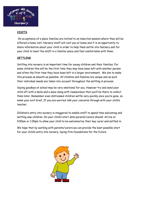

#### **VISITS**

On acceptance of a place families are invited to an induction session where they will be offered a home visit. Nursery staff will visit you at home and it is an opportunity to share information about your child in order to help them settle into Nursery and for your child to meet the staff in a familiar place and feel comfortable with them.

#### **SETTLING**

Settling into nursery is an important time for young children and their families. For some children this will be the first time they may have been left with another person and often the first time they have been left in a larger environment. We aim to make this process as smooth as possible. All children and families are unique and as such their individual needs are taken into account throughout the settling in process.

Saying goodbye at school may be very emotional for you. However try and send your child off with a smile and a wave along with reassurance that you'll be there to collect them later. Remember even distressed children settle very quickly once you're gone, so make your exit brief. If you are worried talk your concerns through with your child's teacher.

Children's entry into nursery is staggered to enable staff to spend time welcoming and settling new children. On your child's start date parents/carers should: Arrive at 9.00am or 1.00pm to allow your child to be welcomed by their key carer and settled in.

We hope that by working with parents/carers we can provide the best possible start for your child's entry into nursery, laying firm foundations for the future.

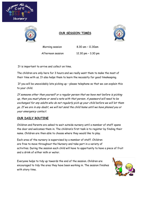



## **OUR SESSION TIMES**



Morning session 8.30 am – 11.30am

Afternoon session 12.30 pm - 3.30 pm

It is important to arrive and collect on time.

The children are only here for 3 hours and we really want them to make the most of their time with us. It also helps them to learn the necessity for good timekeeping.

If you will be unavoidably late picking up – please telephone so that we can explain this to your child.

If someone other than yourself or a regular person that we have met before is picking up, then you must phone or send a note with that person. A password will need to be exchanged for any adults who do not regularly pick up your child before we will let them go. If we are in any doubt, we will not send the child home until we have phoned you or your emergency contact.

## **OUR DAILY ROUTINE**

Children and Parents are asked to wait outside nursery until a member of staff opens the door and welcomes them in. The children's first task is to register by finding their name. Children are then able to choose where they would like to play.

Each area of the nursery is supervised by a member of staff. Children are free to move throughout the Nursery and take part in a variety of activities. During the session each child will have to opportunity to have a piece of fruit and a drink of either milk or water.

Everyone helps to tidy up towards the end of the session. Children are encouraged to tidy the area they have been working in. The session finishes with story time.

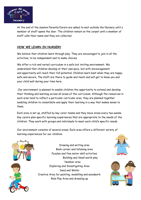

At the end of the session Parents/Carers are asked to wait outside the Nursery until a member of staff opens the door. The children remain on the carpet until a member of staff calls their name and they are collected.

#### **HOW WE LEARN IN NURSERY**

We believe that children learn through play. They are encouraged to join in all the activities, to be independent and to make choices.

We offer a rich and varied curriculum in a safe but inviting environment. We understand that children develop at their own pace, but with encouragement and opportunity will reach their full potential. Children learn best when they are happy, safe and secure. The staff are there to guide and teach and will get to know you and your child well during your time here.

Our environment is planned to enable children the opportunity to extend and develop their thinking and learning across all areas of the curriculum. Although the resources in each area tend to reflect a particular curricular area, they are planned together enabling children to consolidate and apply their learning in a way that makes sense to them.

Each area is set up, staffed by key carer teams and they move areas every two weeks. Key carers plan specific learning experiences that are appropriate to the needs of the children. They work with groups and individuals to meet each child's specific needs.

Our environment consists of several areas. Each area offers a different variety of learning experiences for our children.





Drawing and writing area Book corner and listening area Puzzles and fine motor skill activities Building and Small world play Number area Exploring and Investigating Area Sand and Water Creative Area for painting, modelling and woodwork. Role Play Area and dressing up



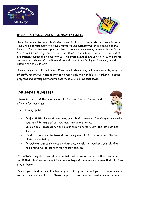



#### **RECORD KEEPING/PARENT CONSULTATIONS**

In order to plan for your child's development, all staff contribute to observations on your child's development. We have started to use Tapestry which is a secure online Learning Journal to record photos, observations and comments, in line with the Early Years Foundation Stage curriculum. This allows us to build up a record of your child's experiences during their time with us. This system also allows us to work with parents and carers to share information and record the children's play and learning in and outside of the classroom.

Every term your child will have a Focus Week where they will be observed by members of staff. Parents will then be invited to meet with their child's key worker to discuss progress and development and to determine your child's next steps.

#### **CHILDREN'S ILLNESSES**

Please inform us of the reason your child is absent from Nursery and of any infectious illness .



The following apply:

- Conjunctivitis- Please do not bring your child to nursery if their eyes are 'gunky'. Wait until 24 hours after treatment has been started.
- Chicken pox- Please do not bring your child to nursery until the last spot has scabbed.
- Hand, foot and mouth-Please do not bring your child to nursery until the last blister has dried up.
- Following a bout of sickness or diarrhoea, we ask that you keep your child at home for a full 48 hours after the last episode.

Notwithstanding the above, it is expected that parents/carers use their discretion and if their children remain unfit for school beyond the above guidelines their children stay at home.

Should your child become ill in Nursery, we will try and contact you as soon as possible so that they can be collected. **Please help us to keep contact numbers up-to-date.**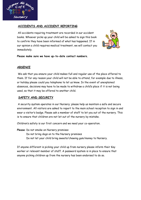

#### **ACCIDENTS AND ACCIDENT REPORTING**

All accidents requiring treatment are recorded in our accident books. Whoever picks up your child will be asked to sign this book to confirm they have been informed of what has happened. If in our opinion a child requires medical treatment, we will contact you immediately.



**Please make sure we have up-to-date contact numbers.** 

#### **ABSENCE**

We ask that you ensure your child makes full and regular use of the place offered to them. If for any reason your child will not be able to attend, for example due to illness, or holiday please could you telephone to let us know. In the event of unexplained absences, decisions may have to be made to withdraw a child's place if it is not being used, so that it may be offered to another child.

#### **SAFETY AND SECURITY**

A security system operates in our Nursery; please help us maintain a safe and secure environment. All visitors are asked to report to the main school reception to sign in and wear a visitor's badge. Please ask a member of staff to let you out of the nursery. This is to ensure that children are not let out of the nursery by mistake.

Children's safety is our first concern and we need your co-operation.

**Please**: Do not smoke on Nursery premises Do not bring dogs on to the Nursery premises Do not let your child bring sweets/chewing gum/money to Nursery.

If anyone different is picking your child up from nursery please inform their Key worker or relevant member of staff. A password system is in place to ensure that anyone picking children up from the nursery has been endorsed to do so.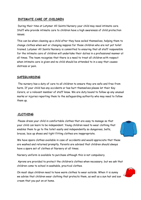## **INTIMATE CARE OF CHILDREN**

During their time at Latymer All Saints Nursery your child may need intimate care. Staff who provide intimate care to children have a high awareness of child protection issues.

This can be when cleaning up a child after they have soiled themselves, helping them to change clothes when wet or changing nappies for those children who are not yet toilet trained. Latymer All Saints Nursery is committed to ensuring that all staff responsible for the intimate care of children will undertake their duties in a professional manner at all times. The team recognise that there is a need to treat all children with respect when intimate care is given and no child should be attended to in a way that causes distress or pain.

#### **SAFEGUARDING**

The nursery has a duty of care to all children to ensure they are safe and free from harm. If your child has any accidents or has hurt themselves please let their Key Carers, or a relevant member of staff know. We are duty bound to follow up any unusual marks or injuries reporting them to the safeguarding authority who may need to follow them up.

#### **CLOTHING**

Please dress your child in comfortable clothes that are easy to manage so that your child can learn to be independent. Young children need to wear clothing that enables them to go to the toilet easily and independently so dungarees, belts, braces, lace up shoes and tight fitting clothes are inappropriate.

We have spare clothes available in case of accidents and would appreciate that these are washed and returned promptly. Parents are advised that children should always have a spare set of clothes at Nursery at all times.

Nursery uniform is available to purchase although this is not compulsory.

Aprons are provided to protect the children's clothes when necessary, but we ask that children come to school in washable, practical clothes.

On most days children need to have warm clothes to wear outside. When it is sunny we advise that children wear clothing that protects them, as well as a sun hat and sun cream that you put on at home.

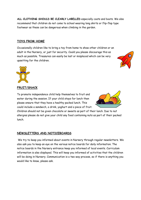**ALL CLOTHING SHOULD BE CLEARLY LABELLED** especially coats and boots. We also recommend that children do not come to school wearing long skirts or flip-flop type footwear as these can be dangerous when climbing in the garden.

## **TOYS FROM HOME**

Occasionally children like to bring a toy from home to show other children or an adult in the Nursery, or just for security. Could you please discourage this as much as possible. Treasures can easily be lost or misplaced which can be very upsetting for the children.



#### **FRUIT/SNACK**

To promote independence child help themselves to fruit and water during the session. If your child stays for lunch then please ensure that they have a healthy packed lunch. This could include a sandwich, a drink, yoghurt and a piece of fruit.



Children should not be given chocolate or sweets as part of their lunch. Due to nut allergies please do not give your child any food containing nuts as part of their packed lunch.

## **NEWSLETTERS AND NOTICEBOARDS**

We try to keep you informed about events in Nursery through regular newsletters. We also ask you to keep an eye on the various notice boards for daily information. The notice boards in the Nursery entrance keep you informed of local events. Curriculum information is also displayed. This will keep you informed of activities that the children will be doing in Nursery. Communication is a two way process, so if there is anything you would like to know, please ask.